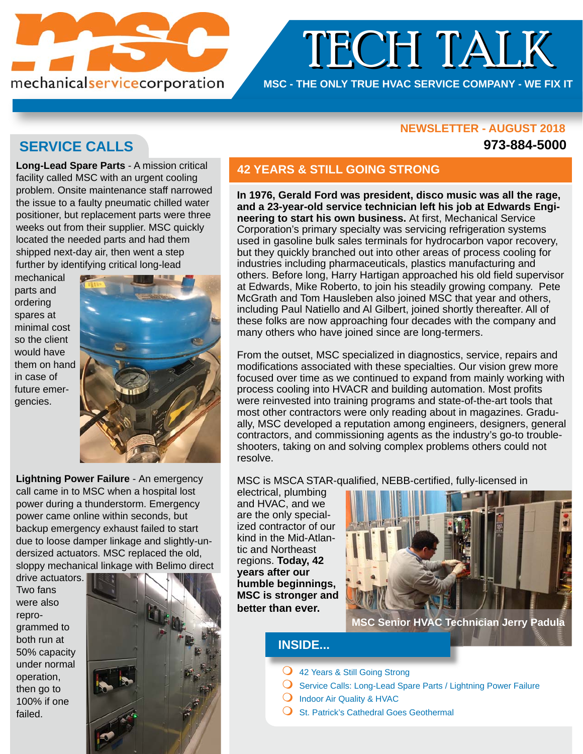

# TECH TALK TECH TALK

**MSC - THE ONLY TRUE HVAC SERVICE COMPANY - WE FIX IT**

### **NEWSLETTER - AUGUST 2018 NEWSLETTER - AUGUST**

### **973-884-5000**

## **SERVICE CALLS**

**Long-Lead Spare Parts** - A mission critical facility called MSC with an urgent cooling problem. Onsite maintenance staff narrowed the issue to a faulty pneumatic chilled water positioner, but replacement parts were three weeks out from their supplier. MSC quickly located the needed parts and had them shipped next-day air, then went a step further by identifying critical long-lead

mechanical parts and ordering spares at minimal cost so the client would have them on hand in case of future emergencies.



**Lightning Power Failure** - An emergency call came in to MSC when a hospital lost power during a thunderstorm. Emergency power came online within seconds, but backup emergency exhaust failed to start due to loose damper linkage and slightly-undersized actuators. MSC replaced the old, sloppy mechanical linkage with Belimo direct

drive actuators. Two fans were also reprogrammed to both run at 50% capacity under normal operation, then go to 100% if one failed.



### **42 YEARS & STILL GOING STRONG**

**In 1976, Gerald Ford was president, disco music was all the rage, and a 23-year-old service technician left his job at Edwards Engineering to start his own business.** At first, Mechanical Service Corporation's primary specialty was servicing refrigeration systems used in gasoline bulk sales terminals for hydrocarbon vapor recovery, but they quickly branched out into other areas of process cooling for industries including pharmaceuticals, plastics manufacturing and others. Before long, Harry Hartigan approached his old field supervisor at Edwards, Mike Roberto, to join his steadily growing company. Pete McGrath and Tom Hausleben also joined MSC that year and others, including Paul Natiello and Al Gilbert, joined shortly thereafter. All of these folks are now approaching four decades with the company and many others who have joined since are long-termers.

From the outset, MSC specialized in diagnostics, service, repairs and modifications associated with these specialties. Our vision grew more focused over time as we continued to expand from mainly working with process cooling into HVACR and building automation. Most profits were reinvested into training programs and state-of-the-art tools that most other contractors were only reading about in magazines. Gradually, MSC developed a reputation among engineers, designers, general contractors, and commissioning agents as the industry's go-to troubleshooters, taking on and solving complex problems others could not resolve.

MSC is MSCA STAR-qualified, NEBB-certified, fully-licensed in

electrical, plumbing and HVAC, and we are the only specialized contractor of our kind in the Mid-Atlantic and Northeast regions. **Today, 42 years after our humble beginnings, MSC is stronger and better than ever.** 



**MSC Senior HVAC Technician Jerry Padula**

### **INSIDE...**

- **Q** 42 Years & Still Going Strong
- $\bigcirc$  Service Calls: Long-Lead Spare Parts / Lightning Power Failure
- $\bigcirc$  Indoor Air Quality & HVAC
- $\bigcirc$  St. Patrick's Cathedral Goes Geothermal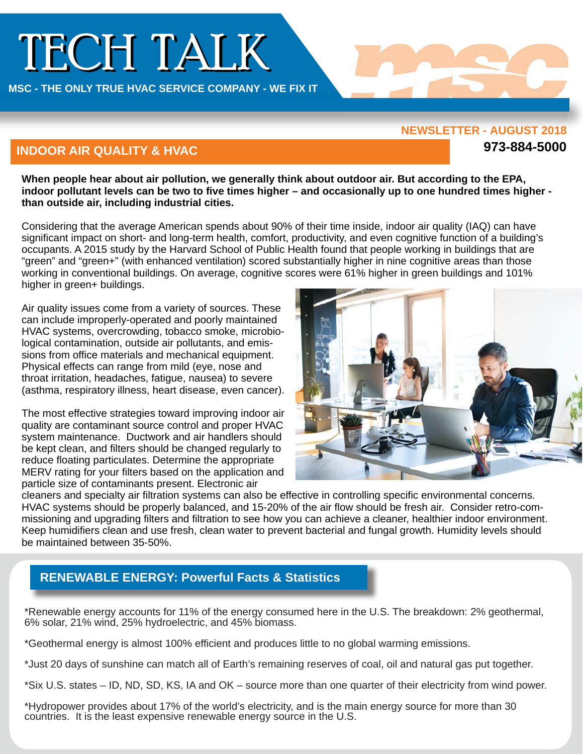# TECH TALK

**MSC - THE ONLY TRUE HVAC SERVICE COMPANY - WE FIX IT** 

#### **NEWSLETTER - AUGUST 2018**

**973-884-5000**

### **INDOOR AIR QUALITY & HVAC**

**When people hear about air pollution, we generally think about outdoor air. But according to the EPA, indoor pollutant levels can be two to five times higher – and occasionally up to one hundred times higher than outside air, including industrial cities.** 

Considering that the average American spends about 90% of their time inside, indoor air quality (IAQ) can have significant impact on short- and long-term health, comfort, productivity, and even cognitive function of a building's occupants. A 2015 study by the Harvard School of Public Health found that people working in buildings that are "green" and "green+" (with enhanced ventilation) scored substantially higher in nine cognitive areas than those working in conventional buildings. On average, cognitive scores were 61% higher in green buildings and 101% higher in green+ buildings.

Air quality issues come from a variety of sources. These can include improperly-operated and poorly maintained HVAC systems, overcrowding, tobacco smoke, microbiological contamination, outside air pollutants, and emissions from office materials and mechanical equipment. Physical effects can range from mild (eye, nose and throat irritation, headaches, fatigue, nausea) to severe (asthma, respiratory illness, heart disease, even cancer).

The most effective strategies toward improving indoor air quality are contaminant source control and proper HVAC system maintenance. Ductwork and air handlers should be kept clean, and filters should be changed regularly to reduce floating particulates. Determine the appropriate MERV rating for your filters based on the application and particle size of contaminants present. Electronic air



cleaners and specialty air filtration systems can also be effective in controlling specific environmental concerns. HVAC systems should be properly balanced, and 15-20% of the air flow should be fresh air. Consider retro-commissioning and upgrading filters and filtration to see how you can achieve a cleaner, healthier indoor environment. Keep humidifiers clean and use fresh, clean water to prevent bacterial and fungal growth. Humidity levels should be maintained between 35-50%.

## **RENEWABLE ENERGY: Powerful Facts & Statistics**

\*Renewable energy accounts for 11% of the energy consumed here in the U.S. The breakdown: 2% geothermal, 6% solar, 21% wind, 25% hydroelectric, and 45% biomass.

\*Geothermal energy is almost 100% efficient and produces little to no global warming emissions.

\*Just 20 days of sunshine can match all of Earth's remaining reserves of coal, oil and natural gas put together.

\*Six U.S. states – ID, ND, SD, KS, IA and OK – source more than one quarter of their electricity from wind power.

\*Hydropower provides about 17% of the world's electricity, and is the main energy source for more than 30 countries. It is the least expensive renewable energy source in the U.S.